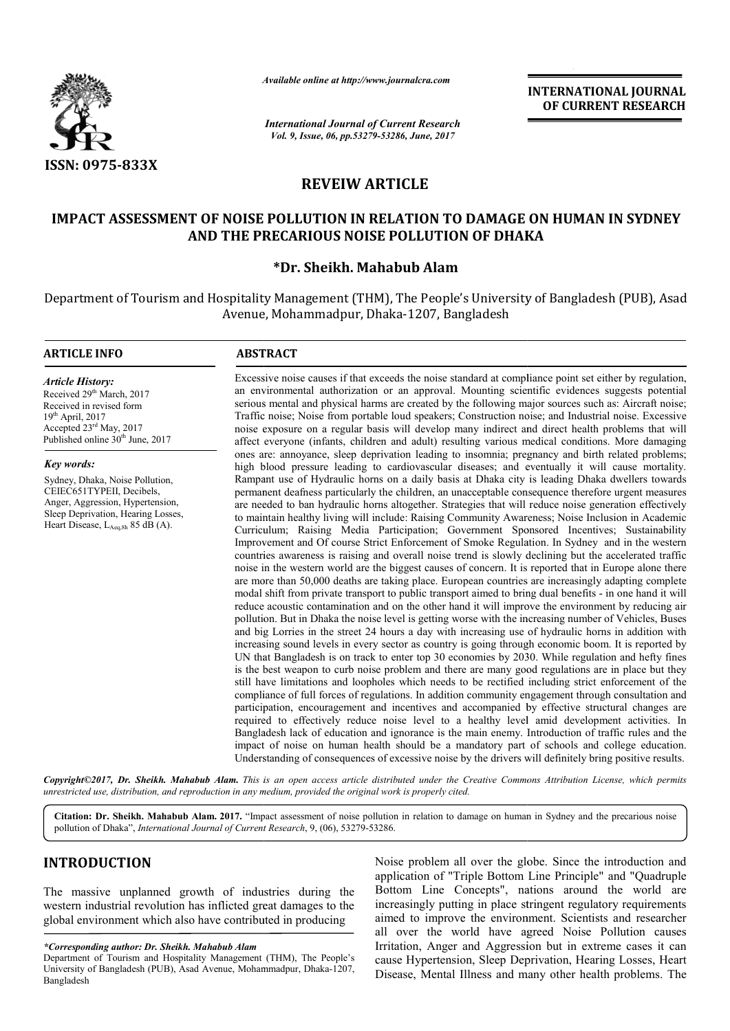

*Available online at http://www.journal http://www.journalcra.com*

*International Journal of Current Research Vol. 9, Issue, 06, pp.53279-53286, June, 2017*

**INTERNATIONAL JOURNAL OF CURRENT RESEARCH** 

# **REVEIW ARTICLE**

# IMPACT ASSESSMENT OF NOISE POLLUTION IN RELATION TO DAMAGE ON HUMAN IN SYDNEY<br>AND THE PRECARIOUS NOISE POLLUTION OF DHAKA **AND THE PREC PRECARIOUS NOISE POLLUTION OF DHAKA**

# **\*Dr. Sheikh. Mahabub Alam**

Department of Tourism and Hospitality Management (THM), The People's University of Bangladesh (PUB), Asad Avenue, Mohammadpur, Dhaka-1207, Bangladesh

## **ARTICLE INFO ABSTRACT**

*Article History:* Received 29<sup>th</sup> March, 2017 Received in revised form  $19<sup>th</sup>$  April, 2017 Accepted 23rd May, 2017 Published online  $30<sup>th</sup>$  June, 2017

## *Key words:*

Sydney, Dhaka, Noise Pollution, CEIEC651TYPEII, Decibels, Anger, Aggression, Hypertension, Sleep Deprivation, Hearing Losses, Heart Disease, LAeq,8h 85 dB (A).

Excessive noise causes if that exceeds the noise standard at compliance point set either by regulation, an environmental authorization or an approval. Mounting scientific evidences suggests potential serious mental and physical harms are created by the following major sources such as: Aircraft noise; Traffic noise; Noise from portable loud speakers; Construction noise; and Industrial noise. Excessive noise exposure on a regular basis will develop many indirect and direct affect everyone (infants, children and adult) resulting various medical conditions. More damaging ones are: annoyance, sleep deprivation leading to insomnia; pregnancy and birth related problems; high blood pressure leading to cardiovascular diseases; and eventually it will cause mortality. Rampant use of Hydraulic horns on a daily basis at Dhaka city is leading Dhaka dwellers towards permanent deafness particularly the children, an unacceptable consequence therefore urgent measure are needed to ban hydraulic horns altogether. Strategies that will reduce noise generation effectively to maintain healthy living will include: Raising Community Awareness; Noise Inclusion in Academic Curriculum; Raising Media Participation; Government Sponsored Incentives; Sustainability Improvement and Of course Strict Enforcement of Smoke Regulation. In Sydney and in the western countries awareness is raising and overall noise trend is slowly declining but the accelerated traffic noise in the western world are the biggest causes of concern. It is reported that in Europe alone there are more than 50,000 deaths are taking place. European countries are increasingly adapting complete modal shift from private transport to public transport aimed to bring dual benefits - in one hand it will reduce acoustic contamination and on the other hand it will improve the environment by reducing air pollution. But in Dhaka the noise level is getting worse with the increasing number of Vehicles, Buses and big Lorries in the street 24 hours a day with increasing use of hydraulic horns in addition with increasing sound levels in every sector as country is going through economic boom. It is reported by UN that Bangladesh is on track to enter top 30 economies by 2030. While regulation and hefty fines is the best weapon to curb noise problem and there are many good regulations are in place but they still have limitations and loopholes which needs to be rectified including strict enforcement of the compliance of full forces of regulations. In addition community engagement through consultation and participation, encouragement and incentives and accompanied by effective structural changes are required to effectively reduce noise level to a healthy level amid development activities. Bangladesh lack of education and ignorance is the main enemy. Introduction of traffic rules and the impact of noise on human health should be a mandatory part of schools and college education. Bangladesh lack of education and ignorance is the main enemy. Introduction of traffic rules and the impact of noise on human health should be a mandatory part of schools and college education. Understanding of consequences an environmental authorization or an approval. Mounting scientific evidences suggests potential<br>serious mental and physical harms are created by the following major sources such as: Aircraft noise;<br>Traffic noise; Noise fro affect everyone (infants, children and adult) resulting various medical conditions. More damaging<br>ones are: annoyance, sleep deprivation leading to insomnia; pregnancy and birth related problems;<br>high blood pressure leadin are needed to ban hydraulic horns altogether. Strategies that will reduce noise generation effectively<br>to maintain healthy living will include: Raising Community Awareness; Noise Inclusion in Academic<br>Curriculum; Raising M reduce acoustic contamination and on the other hand it will improve the environment by reducing air pollution. But in Dhaka the noise level is getting worse with the increasing number of Vehicles, Buses and big Lorries in is the best weapon to curb noise problem and there are many good regulations are in place but they still have limitations and loopholes which needs to be rectified including strict enforcement of the compliance of full for

**Copyright©2017, Dr. Sheikh. Mahabub Alam.** This is an open access article distributed under the Creative Commons Attribution License, which permits *unrestricted use, distribution, and reproduction in any medium, provided the original work is properly cited.*

Citation: Dr. Sheikh. Mahabub Alam. 2017. "Impact assessment of noise pollution in relation to damage on human in Sydney and the precarious noise **Citation: Dr. Sheikh. Mahabub Alam. 2017.** "Impact assessment of noise pollution of Dhaka", *International Journal of Current Research*, 9, (06), 53279-53286.

# **INTRODUCTION**

The massive unplanned growth of industries during the western industrial revolution has inflicted great damages to the global environment which also have contributed in producing

Noise problem all over the globe. Since the introduction and application of "Triple Bottom Line Principle" and "Quadruple Bottom Line Concepts", nations around the world are Noise problem all over the globe. Since the introduction and application of "Triple Bottom Line Principle" and "Quadruple Bottom Line Concepts", nations around the world are increasingly putting in place stringent regulato aimed to improve the environment. Scientists and researcher all over the world have agreed Noise Pollution causes all over the world have agreed Noise Pollution causes Irritation, Anger and Aggression but in extreme cases it can cause Hypertension, Sleep Deprivation, Hearing Losses, Heart Disease, Mental Illness and many other health problems. The

*<sup>\*</sup>Corresponding author: Dr. Sheikh. Mahabub Alam* Department of Tourism and Hospitality Management (THM), The People's University of Bangladesh (PUB), Asad Avenue, Mohammadpur, Dhaka-1207, Bangladesh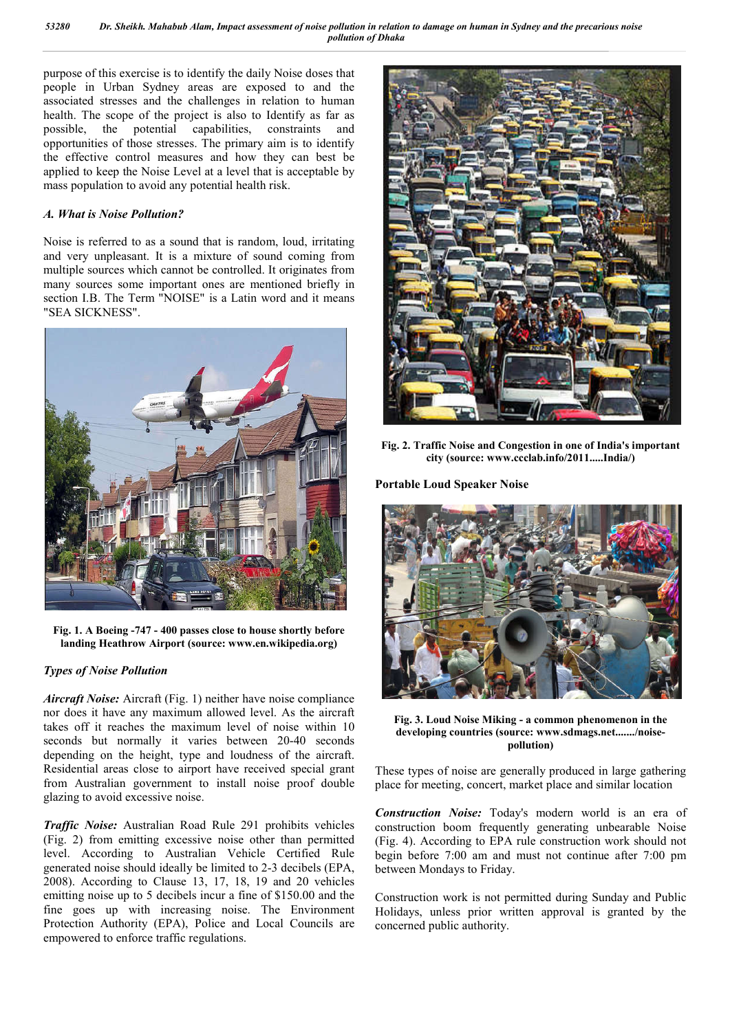purpose of this exercise is to identify the daily Noise doses that people in Urban Sydney areas are exposed to and the associated stresses and the challenges in relation to human health. The scope of the project is also to Identify as far as possible, the potential capabilities, constraints and opportunities of those stresses. The primary aim is to identify the effective control measures and how they can best be applied to keep the Noise Level at a level that is acceptable by mass population to avoid any potential health risk.

## *A. What is Noise Pollution?*

Noise is referred to as a sound that is random, loud, irritating and very unpleasant. It is a mixture of sound coming from multiple sources which cannot be controlled. It originates from many sources some important ones are mentioned briefly in section I.B. The Term "NOISE" is a Latin word and it means "SEA SICKNESS".



**Fig. 1. A Boeing -747 - 400 passes close to house shortly before landing Heathrow Airport (source: www.en.wikipedia.org)**

## *Types of Noise Pollution*

*Aircraft Noise:* Aircraft (Fig. 1) neither have noise compliance nor does it have any maximum allowed level. As the aircraft takes off it reaches the maximum level of noise within 10 seconds but normally it varies between 20-40 seconds depending on the height, type and loudness of the aircraft. Residential areas close to airport have received special grant from Australian government to install noise proof double glazing to avoid excessive noise.

*Traffic Noise:* Australian Road Rule 291 prohibits vehicles (Fig. 2) from emitting excessive noise other than permitted level. According to Australian Vehicle Certified Rule generated noise should ideally be limited to 2-3 decibels (EPA, 2008). According to Clause 13, 17, 18, 19 and 20 vehicles emitting noise up to 5 decibels incur a fine of \$150.00 and the fine goes up with increasing noise. The Environment Protection Authority (EPA), Police and Local Councils are empowered to enforce traffic regulations.



**Fig. 2. Traffic Noise and Congestion in one of India's important city (source: www.ccclab.info/2011.....India/)**

**Portable Loud Speaker Noise**



**Fig. 3. Loud Noise Miking - a common phenomenon in the developing countries (source: www.sdmags.net......./noisepollution)**

These types of noise are generally produced in large gathering place for meeting, concert, market place and similar location

*Construction Noise:* Today's modern world is an era of construction boom frequently generating unbearable Noise (Fig. 4). According to EPA rule construction work should not begin before 7:00 am and must not continue after 7:00 pm between Mondays to Friday.

Construction work is not permitted during Sunday and Public Holidays, unless prior written approval is granted by the concerned public authority.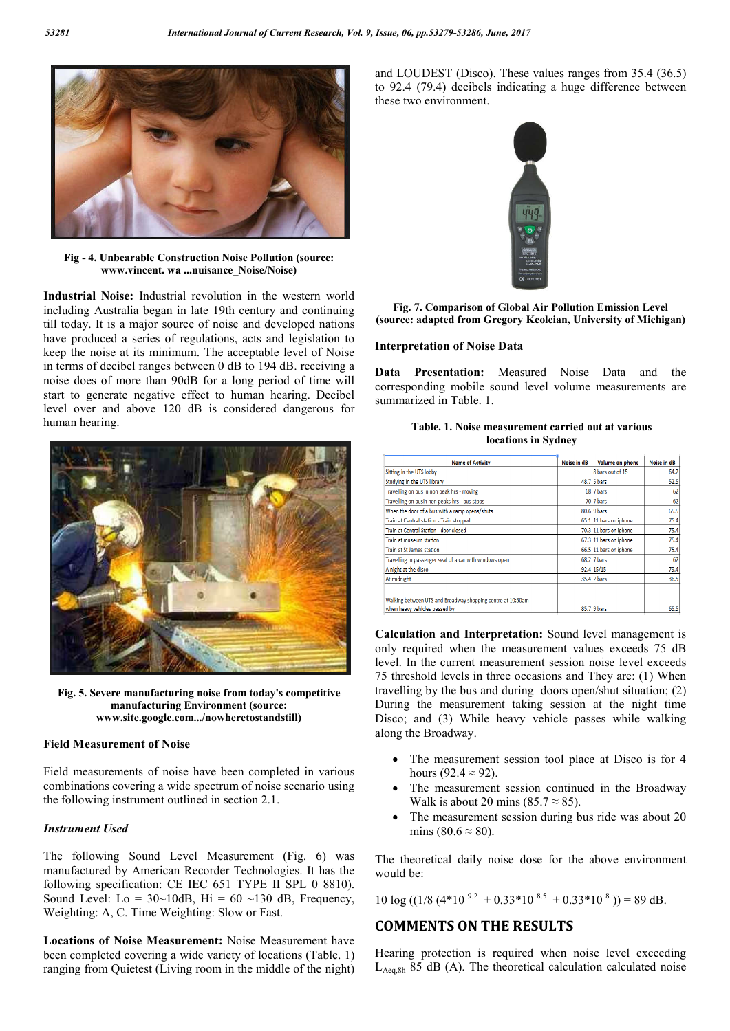

**Fig - 4. Unbearable Construction Noise Pollution (source: www.vincent. wa ...nuisance\_Noise/Noise)**

**Industrial Noise:** Industrial revolution in the western world including Australia began in late 19th century and continuing till today. It is a major source of noise and developed nations have produced a series of regulations, acts and legislation to keep the noise at its minimum. The acceptable level of Noise in terms of decibel ranges between 0 dB to 194 dB. receiving a noise does of more than 90dB for a long period of time will start to generate negative effect to human hearing. Decibel level over and above 120 dB is considered dangerous for human hearing.



**Fig. 5. Severe manufacturing noise from today's competitive manufacturing Environment (source: www.site.google.com.../nowheretostandstill)**

## **Field Measurement of Noise**

Field measurements of noise have been completed in various combinations covering a wide spectrum of noise scenario using the following instrument outlined in section 2.1.

## *Instrument Used*

The following Sound Level Measurement (Fig. 6) was manufactured by American Recorder Technologies. It has the following specification: CE IEC 651 TYPE II SPL 0 8810). Sound Level: Lo =  $30 \sim 10$ dB, Hi =  $60 \sim 130$  dB, Frequency, Weighting: A, C. Time Weighting: Slow or Fast.

**Locations of Noise Measurement:** Noise Measurement have been completed covering a wide variety of locations (Table. 1) ranging from Quietest (Living room in the middle of the night) and LOUDEST (Disco). These values ranges from 35.4 (36.5) to 92.4 (79.4) decibels indicating a huge difference between these two environment.



**Fig. 7. Comparison of Global Air Pollution Emission Level (source: adapted from Gregory Keoleian, University of Michigan)**

#### **Interpretation of Noise Data**

**Data Presentation:** Measured Noise Data and the corresponding mobile sound level volume measurements are summarized in Table. 1.

| Table, 1. Noise measurement carried out at various |
|----------------------------------------------------|
| locations in Sydney                                |

| <b>Name of Activity</b>                                                                      | Noise in dB | Volume on phone        | Noise in dB |
|----------------------------------------------------------------------------------------------|-------------|------------------------|-------------|
| Sitting in the UTS lobby                                                                     |             | 8 bars out of 15       | 64.2        |
| Studying in the UTS library                                                                  |             | 48.7 5 bars            | 52.5        |
| Travelling on bus in non peak hrs - moving                                                   |             | 68 7 bars              | 62          |
| Travelling on busin non peaks hrs - bus stops                                                |             | 70 7 bars              | 62          |
| When the door of a bus with a ramp opens/shuts                                               |             | $80.6$ 9 bars          | 65.5        |
| Train at Central station - Train stopped                                                     |             | 65.1 11 bars on iphone | 75.4        |
| Train at Central Station - door closed                                                       |             | 70.3 11 bars on iphone | 75.4        |
| Train at museum station                                                                      |             | 67.3 11 bars on iphone | 75.4        |
| Train at St James station                                                                    |             | 66.5 11 bars on iphone | 75.4        |
| Travelling in passenger seat of a car with windows open                                      |             | $68.2$ 7 bars          | 62          |
| A night at the disco                                                                         |             | 92.4 15/15             | 79.4        |
| At midnight                                                                                  |             | 35.4 2 bars            | 36.5        |
| Walking between UTS and Broadway shopping centre at 10:30am<br>when heavy vehicles passed by |             | 85.7 9 bars            | 65.5        |

**Calculation and Interpretation:** Sound level management is only required when the measurement values exceeds 75 dB level. In the current measurement session noise level exceeds 75 threshold levels in three occasions and They are: (1) When travelling by the bus and during doors open/shut situation; (2) During the measurement taking session at the night time Disco; and (3) While heavy vehicle passes while walking along the Broadway.

- The measurement session tool place at Disco is for 4 hours (92.4  $\approx$  92).
- The measurement session continued in the Broadway Walk is about 20 mins (85.7  $\approx$  85).
- The measurement session during bus ride was about 20 mins (80.6  $\approx$  80).

The theoretical daily noise dose for the above environment would be:

10 log ((1/8 (4\*10<sup>9.2</sup> + 0.33\*10<sup>8.5</sup> + 0.33\*10<sup>8</sup>)) = 89 dB.

# **COMMENTS ON THE RESULTS**

Hearing protection is required when noise level exceeding  $L_{Aeq,8h}$  85 dB (A). The theoretical calculation calculated noise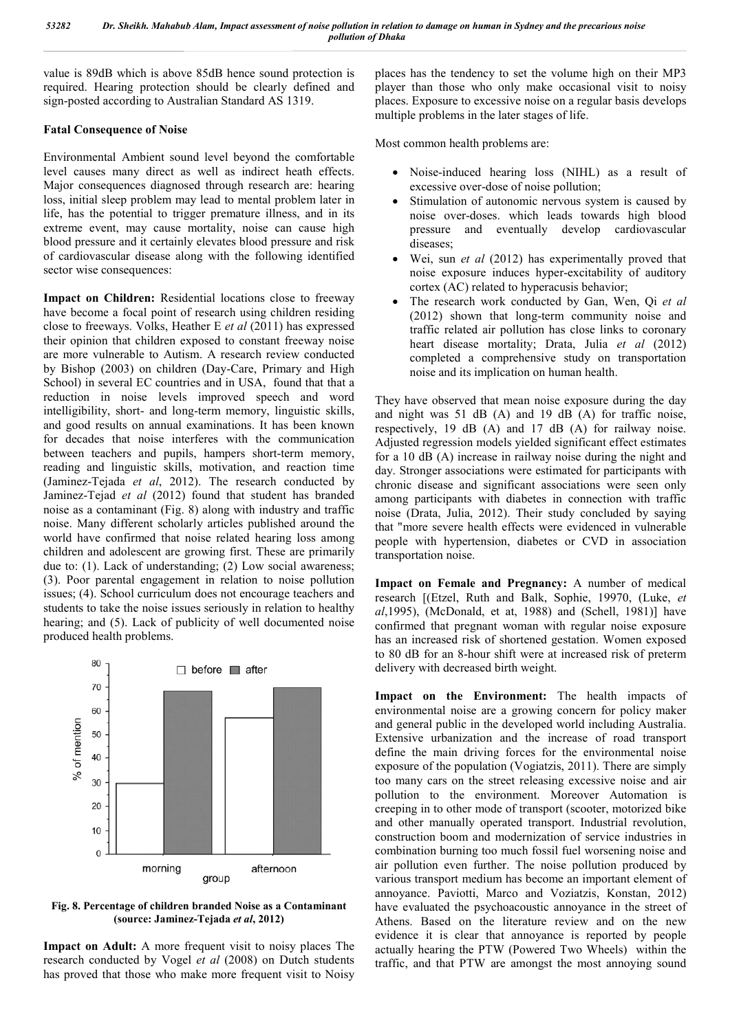value is 89dB which is above 85dB hence sound protection is required. Hearing protection should be clearly defined and sign-posted according to Australian Standard AS 1319.

## **Fatal Consequence of Noise**

Environmental Ambient sound level beyond the comfortable level causes many direct as well as indirect heath effects. Major consequences diagnosed through research are: hearing loss, initial sleep problem may lead to mental problem later in life, has the potential to trigger premature illness, and in its extreme event, may cause mortality, noise can cause high blood pressure and it certainly elevates blood pressure and risk of cardiovascular disease along with the following identified sector wise consequences:

**Impact on Children:** Residential locations close to freeway have become a focal point of research using children residing close to freeways. Volks, Heather E *et al* (2011) has expressed their opinion that children exposed to constant freeway noise are more vulnerable to Autism. A research review conducted by Bishop (2003) on children (Day-Care, Primary and High School) in several EC countries and in USA, found that that a reduction in noise levels improved speech and word intelligibility, short- and long-term memory, linguistic skills, and good results on annual examinations. It has been known for decades that noise interferes with the communication between teachers and pupils, hampers short-term memory, reading and linguistic skills, motivation, and reaction time (Jaminez-Tejada *et al*, 2012). The research conducted by Jaminez-Tejad *et al* (2012) found that student has branded noise as a contaminant (Fig. 8) along with industry and traffic noise. Many different scholarly articles published around the world have confirmed that noise related hearing loss among children and adolescent are growing first. These are primarily due to: (1). Lack of understanding; (2) Low social awareness; (3). Poor parental engagement in relation to noise pollution issues; (4). School curriculum does not encourage teachers and students to take the noise issues seriously in relation to healthy hearing; and (5). Lack of publicity of well documented noise produced health problems.



**Fig. 8. Percentage of children branded Noise as a Contaminant (source: Jaminez-Tejada** *et al***, 2012)**

**Impact on Adult:** A more frequent visit to noisy places The research conducted by Vogel *et al* (2008) on Dutch students has proved that those who make more frequent visit to Noisy places has the tendency to set the volume high on their MP3 player than those who only make occasional visit to noisy places. Exposure to excessive noise on a regular basis develops multiple problems in the later stages of life.

Most common health problems are:

- Noise-induced hearing loss (NIHL) as a result of excessive over-dose of noise pollution;
- Stimulation of autonomic nervous system is caused by noise over-doses. which leads towards high blood pressure and eventually develop cardiovascular diseases;
- Wei, sun *et al* (2012) has experimentally proved that noise exposure induces hyper-excitability of auditory cortex (AC) related to hyperacusis behavior;
- The research work conducted by Gan, Wen, Qi *et al* (2012) shown that long-term community noise and traffic related air pollution has close links to coronary heart disease mortality; Drata, Julia *et al* (2012) completed a comprehensive study on transportation noise and its implication on human health.

They have observed that mean noise exposure during the day and night was 51 dB (A) and 19 dB (A) for traffic noise, respectively, 19 dB (A) and 17 dB (A) for railway noise. Adjusted regression models yielded significant effect estimates for a 10 dB (A) increase in railway noise during the night and day. Stronger associations were estimated for participants with chronic disease and significant associations were seen only among participants with diabetes in connection with traffic noise (Drata, Julia, 2012). Their study concluded by saying that "more severe health effects were evidenced in vulnerable people with hypertension, diabetes or CVD in association transportation noise.

**Impact on Female and Pregnancy:** A number of medical research [(Etzel, Ruth and Balk, Sophie, 19970, (Luke, *et al*,1995), (McDonald, et at, 1988) and (Schell, 1981)] have confirmed that pregnant woman with regular noise exposure has an increased risk of shortened gestation. Women exposed to 80 dB for an 8-hour shift were at increased risk of preterm delivery with decreased birth weight.

**Impact on the Environment:** The health impacts of environmental noise are a growing concern for policy maker and general public in the developed world including Australia. Extensive urbanization and the increase of road transport define the main driving forces for the environmental noise exposure of the population (Vogiatzis, 2011). There are simply too many cars on the street releasing excessive noise and air pollution to the environment. Moreover Automation is creeping in to other mode of transport (scooter, motorized bike and other manually operated transport. Industrial revolution, construction boom and modernization of service industries in combination burning too much fossil fuel worsening noise and air pollution even further. The noise pollution produced by various transport medium has become an important element of annoyance. Paviotti, Marco and Voziatzis, Konstan, 2012) have evaluated the psychoacoustic annoyance in the street of Athens. Based on the literature review and on the new evidence it is clear that annoyance is reported by people actually hearing the PTW (Powered Two Wheels) within the traffic, and that PTW are amongst the most annoying sound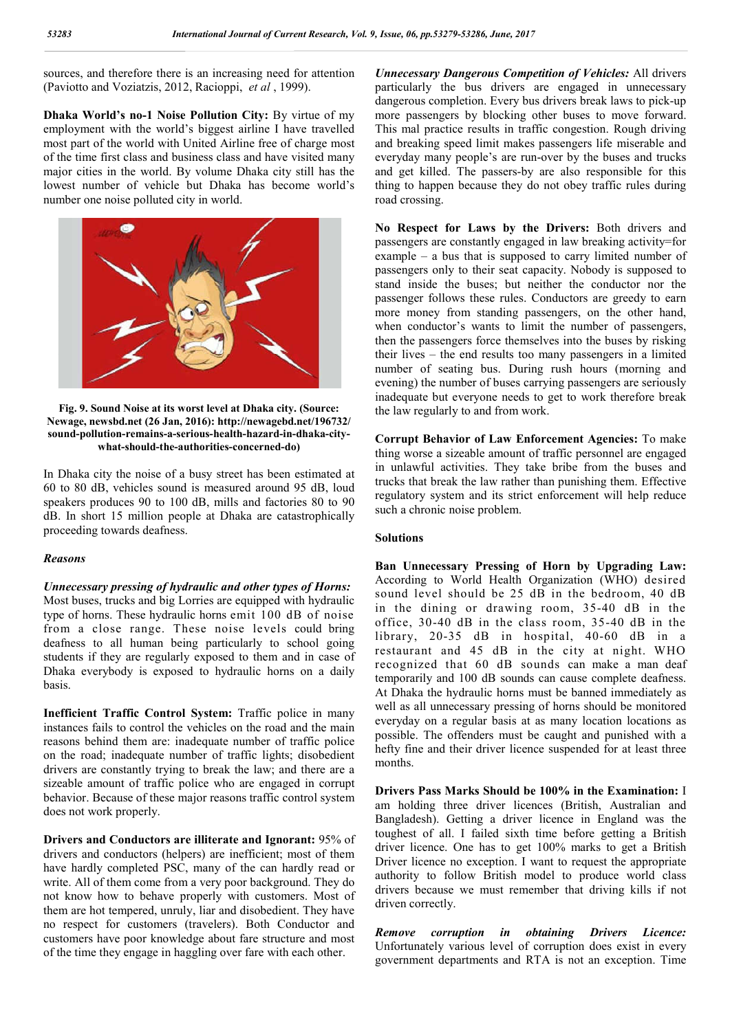sources, and therefore there is an increasing need for attention (Paviotto and Voziatzis, 2012, Racioppi, *et al* , 1999).

**Dhaka World's no-1 Noise Pollution City:** By virtue of my employment with the world's biggest airline I have travelled most part of the world with United Airline free of charge most of the time first class and business class and have visited many major cities in the world. By volume Dhaka city still has the lowest number of vehicle but Dhaka has become world's number one noise polluted city in world.



**Fig. 9. Sound Noise at its worst level at Dhaka city. (Source: Newage, newsbd.net (26 Jan, 2016): http://newagebd.net/196732/ sound-pollution-remains-a-serious-health-hazard-in-dhaka-citywhat-should-the-authorities-concerned-do)**

In Dhaka city the noise of a busy street has been estimated at 60 to 80 dB, vehicles sound is measured around 95 dB, loud speakers produces 90 to 100 dB, mills and factories 80 to 90 dB. In short 15 million people at Dhaka are catastrophically proceeding towards deafness.

## *Reasons*

## *Unnecessary pressing of hydraulic and other types of Horns:*

Most buses, trucks and big Lorries are equipped with hydraulic type of horns. These hydraulic horns emit 100 dB of noise from a close range. These noise levels could bring deafness to all human being particularly to school going students if they are regularly exposed to them and in case of Dhaka everybody is exposed to hydraulic horns on a daily basis.

**Inefficient Traffic Control System:** Traffic police in many instances fails to control the vehicles on the road and the main reasons behind them are: inadequate number of traffic police on the road; inadequate number of traffic lights; disobedient drivers are constantly trying to break the law; and there are a sizeable amount of traffic police who are engaged in corrupt behavior. Because of these major reasons traffic control system does not work properly.

**Drivers and Conductors are illiterate and Ignorant:** 95% of drivers and conductors (helpers) are inefficient; most of them have hardly completed PSC, many of the can hardly read or write. All of them come from a very poor background. They do not know how to behave properly with customers. Most of them are hot tempered, unruly, liar and disobedient. They have no respect for customers (travelers). Both Conductor and customers have poor knowledge about fare structure and most of the time they engage in haggling over fare with each other.

*Unnecessary Dangerous Competition of Vehicles:* All drivers particularly the bus drivers are engaged in unnecessary dangerous completion. Every bus drivers break laws to pick-up more passengers by blocking other buses to move forward. This mal practice results in traffic congestion. Rough driving and breaking speed limit makes passengers life miserable and everyday many people's are run-over by the buses and trucks and get killed. The passers-by are also responsible for this thing to happen because they do not obey traffic rules during road crossing.

**No Respect for Laws by the Drivers:** Both drivers and passengers are constantly engaged in law breaking activity=for example – a bus that is supposed to carry limited number of passengers only to their seat capacity. Nobody is supposed to stand inside the buses; but neither the conductor nor the passenger follows these rules. Conductors are greedy to earn more money from standing passengers, on the other hand, when conductor's wants to limit the number of passengers, then the passengers force themselves into the buses by risking their lives – the end results too many passengers in a limited number of seating bus. During rush hours (morning and evening) the number of buses carrying passengers are seriously inadequate but everyone needs to get to work therefore break the law regularly to and from work.

**Corrupt Behavior of Law Enforcement Agencies:** To make thing worse a sizeable amount of traffic personnel are engaged in unlawful activities. They take bribe from the buses and trucks that break the law rather than punishing them. Effective regulatory system and its strict enforcement will help reduce such a chronic noise problem.

## **Solutions**

**Ban Unnecessary Pressing of Horn by Upgrading Law:**  According to World Health Organization (WHO) desired sound level should be 25 dB in the bedroom, 40 dB in the dining or drawing room, 35-40 dB in the office, 30-40 dB in the class room, 35-40 dB in the library, 20-35 dB in hospital, 40-60 dB in a restaurant and 45 dB in the city at night. WHO recognized that 60 dB sounds can make a man deaf temporarily and 100 dB sounds can cause complete deafness. At Dhaka the hydraulic horns must be banned immediately as well as all unnecessary pressing of horns should be monitored everyday on a regular basis at as many location locations as possible. The offenders must be caught and punished with a hefty fine and their driver licence suspended for at least three months.

**Drivers Pass Marks Should be 100% in the Examination:** I am holding three driver licences (British, Australian and Bangladesh). Getting a driver licence in England was the toughest of all. I failed sixth time before getting a British driver licence. One has to get 100% marks to get a British Driver licence no exception. I want to request the appropriate authority to follow British model to produce world class drivers because we must remember that driving kills if not driven correctly.

*Remove corruption in obtaining Drivers Licence:* Unfortunately various level of corruption does exist in every government departments and RTA is not an exception. Time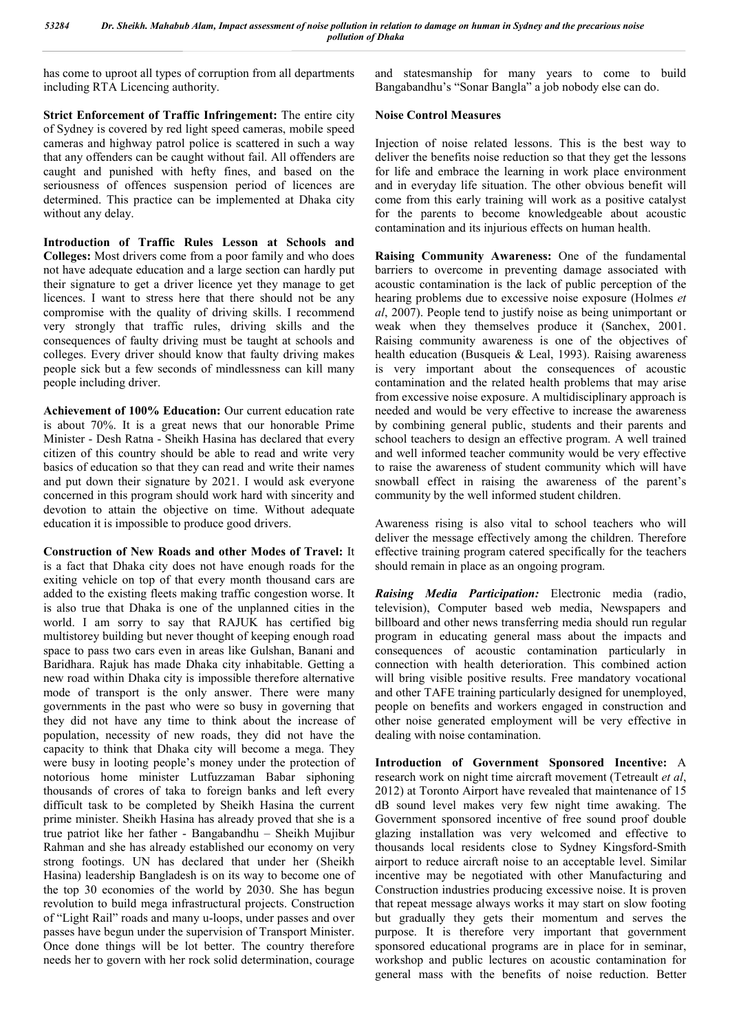has come to uproot all types of corruption from all departments including RTA Licencing authority.

**Strict Enforcement of Traffic Infringement:** The entire city of Sydney is covered by red light speed cameras, mobile speed cameras and highway patrol police is scattered in such a way that any offenders can be caught without fail. All offenders are caught and punished with hefty fines, and based on the seriousness of offences suspension period of licences are determined. This practice can be implemented at Dhaka city without any delay.

**Introduction of Traffic Rules Lesson at Schools and Colleges:** Most drivers come from a poor family and who does not have adequate education and a large section can hardly put their signature to get a driver licence yet they manage to get licences. I want to stress here that there should not be any compromise with the quality of driving skills. I recommend very strongly that traffic rules, driving skills and the consequences of faulty driving must be taught at schools and colleges. Every driver should know that faulty driving makes people sick but a few seconds of mindlessness can kill many people including driver.

**Achievement of 100% Education:** Our current education rate is about 70%. It is a great news that our honorable Prime Minister - Desh Ratna - Sheikh Hasina has declared that every citizen of this country should be able to read and write very basics of education so that they can read and write their names and put down their signature by 2021. I would ask everyone concerned in this program should work hard with sincerity and devotion to attain the objective on time. Without adequate education it is impossible to produce good drivers.

**Construction of New Roads and other Modes of Travel:** It is a fact that Dhaka city does not have enough roads for the exiting vehicle on top of that every month thousand cars are added to the existing fleets making traffic congestion worse. It is also true that Dhaka is one of the unplanned cities in the world. I am sorry to say that RAJUK has certified big multistorey building but never thought of keeping enough road space to pass two cars even in areas like Gulshan, Banani and Baridhara. Rajuk has made Dhaka city inhabitable. Getting a new road within Dhaka city is impossible therefore alternative mode of transport is the only answer. There were many governments in the past who were so busy in governing that they did not have any time to think about the increase of population, necessity of new roads, they did not have the capacity to think that Dhaka city will become a mega. They were busy in looting people's money under the protection of notorious home minister Lutfuzzaman Babar siphoning thousands of crores of taka to foreign banks and left every difficult task to be completed by Sheikh Hasina the current prime minister. Sheikh Hasina has already proved that she is a true patriot like her father - Bangabandhu – Sheikh Mujibur Rahman and she has already established our economy on very strong footings. UN has declared that under her (Sheikh Hasina) leadership Bangladesh is on its way to become one of the top 30 economies of the world by 2030. She has begun revolution to build mega infrastructural projects. Construction of "Light Rail" roads and many u-loops, under passes and over passes have begun under the supervision of Transport Minister. Once done things will be lot better. The country therefore needs her to govern with her rock solid determination, courage

and statesmanship for many years to come to build Bangabandhu's "Sonar Bangla" a job nobody else can do.

## **Noise Control Measures**

Injection of noise related lessons. This is the best way to deliver the benefits noise reduction so that they get the lessons for life and embrace the learning in work place environment and in everyday life situation. The other obvious benefit will come from this early training will work as a positive catalyst for the parents to become knowledgeable about acoustic contamination and its injurious effects on human health.

**Raising Community Awareness:** One of the fundamental barriers to overcome in preventing damage associated with acoustic contamination is the lack of public perception of the hearing problems due to excessive noise exposure (Holmes *et al*, 2007). People tend to justify noise as being unimportant or weak when they themselves produce it (Sanchex, 2001. Raising community awareness is one of the objectives of health education (Busqueis & Leal, 1993). Raising awareness is very important about the consequences of acoustic contamination and the related health problems that may arise from excessive noise exposure. A multidisciplinary approach is needed and would be very effective to increase the awareness by combining general public, students and their parents and school teachers to design an effective program. A well trained and well informed teacher community would be very effective to raise the awareness of student community which will have snowball effect in raising the awareness of the parent's community by the well informed student children.

Awareness rising is also vital to school teachers who will deliver the message effectively among the children. Therefore effective training program catered specifically for the teachers should remain in place as an ongoing program.

*Raising Media Participation:* Electronic media (radio, television), Computer based web media, Newspapers and billboard and other news transferring media should run regular program in educating general mass about the impacts and consequences of acoustic contamination particularly in connection with health deterioration. This combined action will bring visible positive results. Free mandatory vocational and other TAFE training particularly designed for unemployed, people on benefits and workers engaged in construction and other noise generated employment will be very effective in dealing with noise contamination.

**Introduction of Government Sponsored Incentive:** A research work on night time aircraft movement (Tetreault *et al*, 2012) at Toronto Airport have revealed that maintenance of 15 dB sound level makes very few night time awaking. The Government sponsored incentive of free sound proof double glazing installation was very welcomed and effective to thousands local residents close to Sydney Kingsford-Smith airport to reduce aircraft noise to an acceptable level. Similar incentive may be negotiated with other Manufacturing and Construction industries producing excessive noise. It is proven that repeat message always works it may start on slow footing but gradually they gets their momentum and serves the purpose. It is therefore very important that government sponsored educational programs are in place for in seminar, workshop and public lectures on acoustic contamination for general mass with the benefits of noise reduction. Better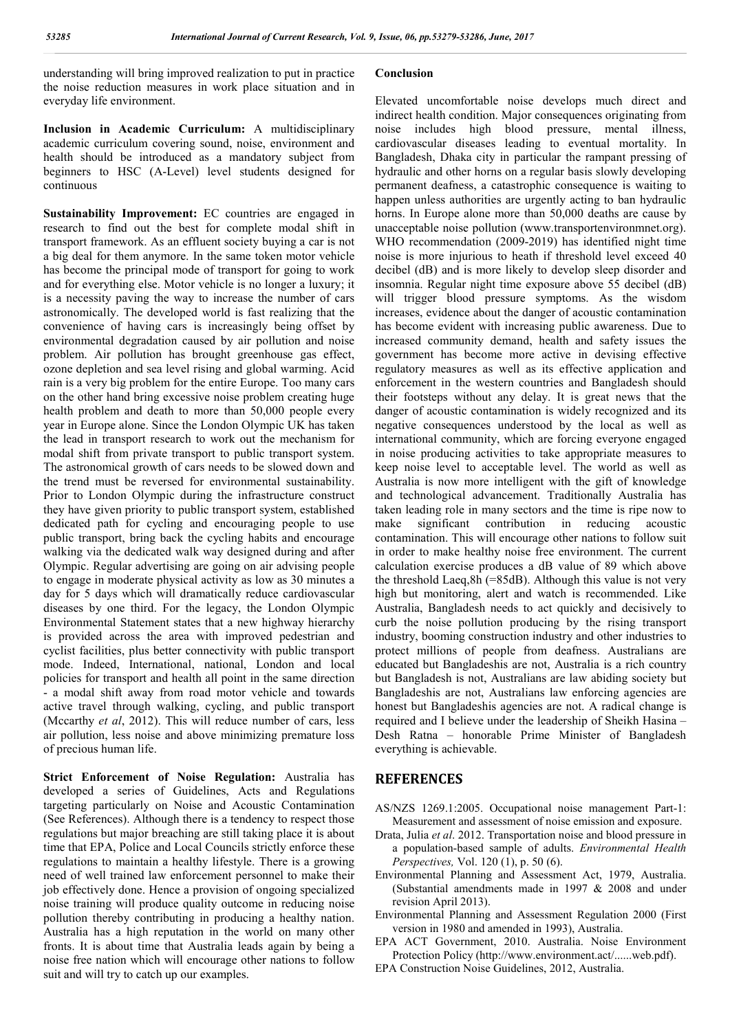understanding will bring improved realization to put in practice the noise reduction measures in work place situation and in everyday life environment.

**Inclusion in Academic Curriculum:** A multidisciplinary academic curriculum covering sound, noise, environment and health should be introduced as a mandatory subject from beginners to HSC (A-Level) level students designed for continuous

**Sustainability Improvement:** EC countries are engaged in research to find out the best for complete modal shift in transport framework. As an effluent society buying a car is not a big deal for them anymore. In the same token motor vehicle has become the principal mode of transport for going to work and for everything else. Motor vehicle is no longer a luxury; it is a necessity paving the way to increase the number of cars astronomically. The developed world is fast realizing that the convenience of having cars is increasingly being offset by environmental degradation caused by air pollution and noise problem. Air pollution has brought greenhouse gas effect, ozone depletion and sea level rising and global warming. Acid rain is a very big problem for the entire Europe. Too many cars on the other hand bring excessive noise problem creating huge health problem and death to more than 50,000 people every year in Europe alone. Since the London Olympic UK has taken the lead in transport research to work out the mechanism for modal shift from private transport to public transport system. The astronomical growth of cars needs to be slowed down and the trend must be reversed for environmental sustainability. Prior to London Olympic during the infrastructure construct they have given priority to public transport system, established dedicated path for cycling and encouraging people to use public transport, bring back the cycling habits and encourage walking via the dedicated walk way designed during and after Olympic. Regular advertising are going on air advising people to engage in moderate physical activity as low as 30 minutes a day for 5 days which will dramatically reduce cardiovascular diseases by one third. For the legacy, the London Olympic Environmental Statement states that a new highway hierarchy is provided across the area with improved pedestrian and cyclist facilities, plus better connectivity with public transport mode. Indeed, International, national, London and local policies for transport and health all point in the same direction - a modal shift away from road motor vehicle and towards active travel through walking, cycling, and public transport (Mccarthy *et al*, 2012). This will reduce number of cars, less air pollution, less noise and above minimizing premature loss of precious human life.

**Strict Enforcement of Noise Regulation:** Australia has developed a series of Guidelines, Acts and Regulations targeting particularly on Noise and Acoustic Contamination (See References). Although there is a tendency to respect those regulations but major breaching are still taking place it is about time that EPA, Police and Local Councils strictly enforce these regulations to maintain a healthy lifestyle. There is a growing need of well trained law enforcement personnel to make their job effectively done. Hence a provision of ongoing specialized noise training will produce quality outcome in reducing noise pollution thereby contributing in producing a healthy nation. Australia has a high reputation in the world on many other fronts. It is about time that Australia leads again by being a noise free nation which will encourage other nations to follow suit and will try to catch up our examples.

#### **Conclusion**

Elevated uncomfortable noise develops much direct and indirect health condition. Major consequences originating from noise includes high blood pressure, mental illness, cardiovascular diseases leading to eventual mortality. In Bangladesh, Dhaka city in particular the rampant pressing of hydraulic and other horns on a regular basis slowly developing permanent deafness, a catastrophic consequence is waiting to happen unless authorities are urgently acting to ban hydraulic horns. In Europe alone more than 50,000 deaths are cause by unacceptable noise pollution (www.transportenvironmnet.org). WHO recommendation (2009-2019) has identified night time noise is more injurious to heath if threshold level exceed 40 decibel (dB) and is more likely to develop sleep disorder and insomnia. Regular night time exposure above 55 decibel (dB) will trigger blood pressure symptoms. As the wisdom increases, evidence about the danger of acoustic contamination has become evident with increasing public awareness. Due to increased community demand, health and safety issues the government has become more active in devising effective regulatory measures as well as its effective application and enforcement in the western countries and Bangladesh should their footsteps without any delay. It is great news that the danger of acoustic contamination is widely recognized and its negative consequences understood by the local as well as international community, which are forcing everyone engaged in noise producing activities to take appropriate measures to keep noise level to acceptable level. The world as well as Australia is now more intelligent with the gift of knowledge and technological advancement. Traditionally Australia has taken leading role in many sectors and the time is ripe now to make significant contribution in reducing acoustic contamination. This will encourage other nations to follow suit in order to make healthy noise free environment. The current calculation exercise produces a dB value of 89 which above the threshold Laeq,8h (=85dB). Although this value is not very high but monitoring, alert and watch is recommended. Like Australia, Bangladesh needs to act quickly and decisively to curb the noise pollution producing by the rising transport industry, booming construction industry and other industries to protect millions of people from deafness. Australians are educated but Bangladeshis are not, Australia is a rich country but Bangladesh is not, Australians are law abiding society but Bangladeshis are not, Australians law enforcing agencies are honest but Bangladeshis agencies are not. A radical change is required and I believe under the leadership of Sheikh Hasina – Desh Ratna – honorable Prime Minister of Bangladesh everything is achievable.

## **REFERENCES**

- AS/NZS 1269.1:2005. Occupational noise management Part-1: Measurement and assessment of noise emission and exposure.
- Drata, Julia *et al*. 2012. Transportation noise and blood pressure in a population-based sample of adults. *Environmental Health Perspectives,* Vol. 120 (1), p. 50 (6).
- Environmental Planning and Assessment Act, 1979, Australia. (Substantial amendments made in 1997 & 2008 and under revision April 2013).
- Environmental Planning and Assessment Regulation 2000 (First version in 1980 and amended in 1993), Australia.
- EPA ACT Government, 2010. Australia. Noise Environment Protection Policy (http://www.environment.act/......web.pdf).
- EPA Construction Noise Guidelines, 2012, Australia.